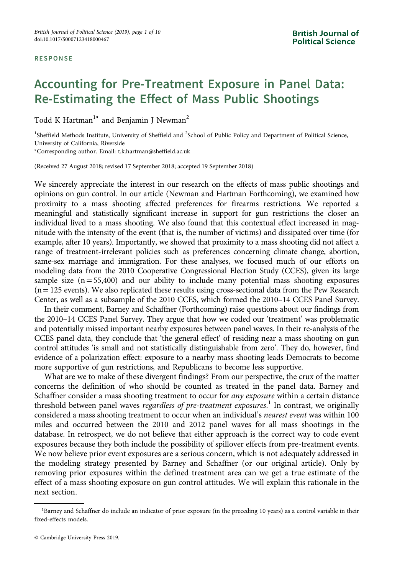#### RESPONSE

# Accounting for Pre-Treatment Exposure in Panel Data: Re-Estimating the Effect of Mass Public Shootings

Todd K Hartman<sup>1\*</sup> and Benjamin J Newman<sup>2</sup>

<sup>1</sup>Sheffield Methods Institute, University of Sheffield and <sup>2</sup>School of Public Policy and Department of Political Science, University of California, Riverside

\*Corresponding author. Email: [t.k.hartman@sheffield.ac.uk](mailto:t.k.hartman@sheffield.ac.uk)

(Received 27 August 2018; revised 17 September 2018; accepted 19 September 2018)

We sincerely appreciate the interest in our research on the effects of mass public shootings and opinions on gun control. In our article (Newman and Hartman [Forthcoming](#page-9-0)), we examined how proximity to a mass shooting affected preferences for firearms restrictions. We reported a meaningful and statistically significant increase in support for gun restrictions the closer an individual lived to a mass shooting. We also found that this contextual effect increased in magnitude with the intensity of the event (that is, the number of victims) and dissipated over time (for example, after 10 years). Importantly, we showed that proximity to a mass shooting did not affect a range of treatment-irrelevant policies such as preferences concerning climate change, abortion, same-sex marriage and immigration. For these analyses, we focused much of our efforts on modeling data from the 2010 Cooperative Congressional Election Study (CCES), given its large sample size  $(n=55,400)$  and our ability to include many potential mass shooting exposures  $(n=125$  events). We also replicated these results using cross-sectional data from the Pew Research Center, as well as a subsample of the 2010 CCES, which formed the 2010–14 CCES Panel Survey.

In their comment, Barney and Schaffner [\(Forthcoming](#page-9-0)) raise questions about our findings from the 2010–14 CCES Panel Survey. They argue that how we coded our 'treatment' was problematic and potentially missed important nearby exposures between panel waves. In their re-analysis of the CCES panel data, they conclude that 'the general effect' of residing near a mass shooting on gun control attitudes 'is small and not statistically distinguishable from zero'. They do, however, find evidence of a polarization effect: exposure to a nearby mass shooting leads Democrats to become more supportive of gun restrictions, and Republicans to become less supportive.

What are we to make of these divergent findings? From our perspective, the crux of the matter concerns the definition of who should be counted as treated in the panel data. Barney and Schaffner consider a mass shooting treatment to occur for *any exposure* within a certain distance threshold between panel waves regardless of pre-treatment exposures.<sup>1</sup> In contrast, we originally considered a mass shooting treatment to occur when an individual's nearest event was within 100 miles and occurred between the 2010 and 2012 panel waves for all mass shootings in the database. In retrospect, we do not believe that either approach is the correct way to code event exposures because they both include the possibility of spillover effects from pre-treatment events. We now believe prior event exposures are a serious concern, which is not adequately addressed in the modeling strategy presented by Barney and Schaffner (or our original article). Only by removing prior exposures within the defined treatment area can we get a true estimate of the effect of a mass shooting exposure on gun control attitudes. We will explain this rationale in the next section.

<sup>&</sup>lt;sup>1</sup>Barney and Schaffner do include an indicator of prior exposure (in the preceding 10 years) as a control variable in their fixed-effects models.

<sup>©</sup> Cambridge University Press 2019.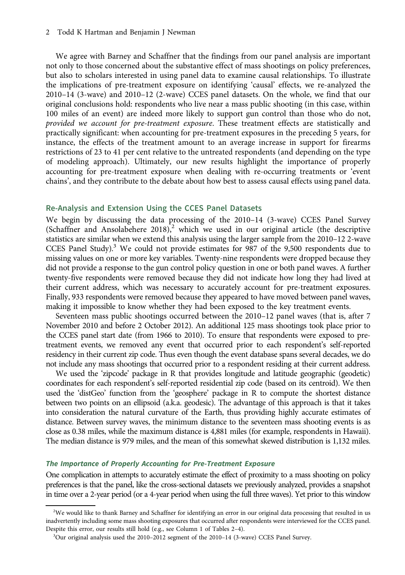We agree with Barney and Schaffner that the findings from our panel analysis are important not only to those concerned about the substantive effect of mass shootings on policy preferences, but also to scholars interested in using panel data to examine causal relationships. To illustrate the implications of pre-treatment exposure on identifying 'causal' effects, we re-analyzed the 2010–14 (3-wave) and 2010–12 (2-wave) CCES panel datasets. On the whole, we find that our original conclusions hold: respondents who live near a mass public shooting (in this case, within 100 miles of an event) are indeed more likely to support gun control than those who do not, provided we account for pre-treatment exposure. These treatment effects are statistically and practically significant: when accounting for pre-treatment exposures in the preceding 5 years, for instance, the effects of the treatment amount to an average increase in support for firearms restrictions of 23 to 41 per cent relative to the untreated respondents (and depending on the type of modeling approach). Ultimately, our new results highlight the importance of properly accounting for pre-treatment exposure when dealing with re-occurring treatments or 'event chains', and they contribute to the debate about how best to assess causal effects using panel data.

### Re-Analysis and Extension Using the CCES Panel Datasets

We begin by discussing the data processing of the 2010–14 (3-wave) CCES Panel Survey (Schaffner and Ansolabehere [2018](#page-9-0)),<sup>2</sup> which we used in our original article (the descriptive statistics are similar when we extend this analysis using the larger sample from the 2010–12 2-wave CCES Panel Study). $3$  We could not provide estimates for 987 of the 9,500 respondents due to missing values on one or more key variables. Twenty-nine respondents were dropped because they did not provide a response to the gun control policy question in one or both panel waves. A further twenty-five respondents were removed because they did not indicate how long they had lived at their current address, which was necessary to accurately account for pre-treatment exposures. Finally, 933 respondents were removed because they appeared to have moved between panel waves, making it impossible to know whether they had been exposed to the key treatment events.

Seventeen mass public shootings occurred between the 2010–12 panel waves (that is, after 7 November 2010 and before 2 October 2012). An additional 125 mass shootings took place prior to the CCES panel start date (from 1966 to 2010). To ensure that respondents were exposed to pretreatment events, we removed any event that occurred prior to each respondent's self-reported residency in their current zip code. Thus even though the event database spans several decades, we do not include any mass shootings that occurred prior to a respondent residing at their current address.

We used the 'zipcode' package in R that provides longitude and latitude geographic (geodetic) coordinates for each respondent's self-reported residential zip code (based on its centroid). We then used the 'distGeo' function from the 'geosphere' package in R to compute the shortest distance between two points on an ellipsoid (a.k.a. geodesic). The advantage of this approach is that it takes into consideration the natural curvature of the Earth, thus providing highly accurate estimates of distance. Between survey waves, the minimum distance to the seventeen mass shooting events is as close as 0.38 miles, while the maximum distance is 4,881 miles (for example, respondents in Hawaii). The median distance is 979 miles, and the mean of this somewhat skewed distribution is 1,132 miles.

One complication in attempts to accurately estimate the effect of proximity to a mass shooting on policy preferences is that the panel, like the cross-sectional datasets we previously analyzed, provides a snapshot in time over a 2-year period (or a 4-year period when using the full three waves). Yet prior to this window

<sup>2</sup> We would like to thank Barney and Schaffner for identifying an error in our original data processing that resulted in us inadvertently including some mass shooting exposures that occurred after respondents were interviewed for the CCES panel. Despite this error, our results still hold (e.g., see Column 1 of [Tables 2](#page-5-0)–[4\)](#page-8-0).

<sup>&</sup>lt;sup>3</sup>Our original analysis used the 2010-2012 segment of the 2010-14 (3-wave) CCES Panel Survey.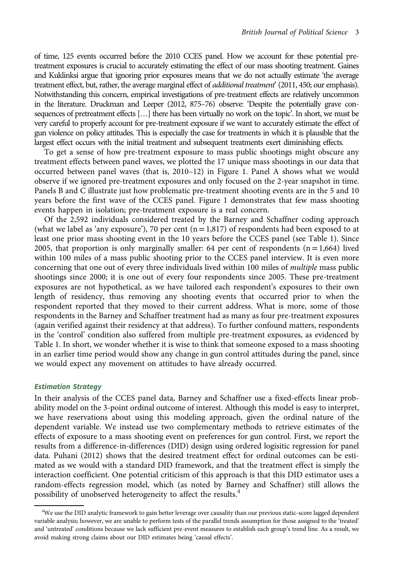of time, 125 events occurred before the 2010 CCES panel. How we account for these potential pretreatment exposures is crucial to accurately estimating the effect of our mass shooting treatment. Gaines and Kuklinksi argue that ignoring prior exposures means that we do not actually estimate 'the average treatment effect, but, rather, the average marginal effect of additional treatment' (2011, 450; our emphasis). Notwithstanding this concern, empirical investigations of pre-treatment effects are relatively uncommon in the literature. Druckman and Leeper [\(2012,](#page-9-0) 875–76) observe: 'Despite the potentially grave consequences of pretreatment effects […] there has been virtually no work on the topic'. In short, we must be very careful to properly account for pre-treatment exposure if we want to accurately estimate the effect of gun violence on policy attitudes. This is especially the case for treatments in which it is plausible that the largest effect occurs with the initial treatment and subsequent treatments exert diminishing effects.

To get a sense of how pre-treatment exposure to mass public shootings might obscure any treatment effects between panel waves, we plotted the 17 unique mass shootings in our data that occurred between panel waves (that is, 2010–12) in [Figure 1.](#page-3-0) Panel A shows what we would observe if we ignored pre-treatment exposures and only focused on the 2-year snapshot in time. Panels B and C illustrate just how problematic pre-treatment shooting events are in the 5 and 10 years before the first wave of the CCES panel. [Figure 1](#page-3-0) demonstrates that few mass shooting events happen in isolation; pre-treatment exposure is a real concern.

Of the 2,592 individuals considered treated by the Barney and Schaffner coding approach (what we label as 'any exposure'), 70 per cent  $(n = 1,817)$  of respondents had been exposed to at least one prior mass shooting event in the 10 years before the CCES panel (see [Table 1\)](#page-4-0). Since 2005, that proportion is only marginally smaller: 64 per cent of respondents  $(n = 1,664)$  lived within 100 miles of a mass public shooting prior to the CCES panel interview. It is even more concerning that one out of every three individuals lived within 100 miles of multiple mass public shootings since 2000; it is one out of every four respondents since 2005. These pre-treatment exposures are not hypothetical, as we have tailored each respondent's exposures to their own length of residency, thus removing any shooting events that occurred prior to when the respondent reported that they moved to their current address. What is more, some of those respondents in the Barney and Schaffner treatment had as many as four pre-treatment exposures (again verified against their residency at that address). To further confound matters, respondents in the 'control' condition also suffered from multiple pre-treatment exposures, as evidenced by [Table 1.](#page-4-0) In short, we wonder whether it is wise to think that someone exposed to a mass shooting in an earlier time period would show any change in gun control attitudes during the panel, since we would expect any movement on attitudes to have already occurred.

In their analysis of the CCES panel data, Barney and Schaffner use a fixed-effects linear probability model on the 3-point ordinal outcome of interest. Although this model is easy to interpret, we have reservations about using this modeling approach, given the ordinal nature of the dependent variable. We instead use two complementary methods to retrieve estimates of the effects of exposure to a mass shooting event on preferences for gun control. First, we report the results from a difference-in-differences (DID) design using ordered logisitic regression for panel data. Puhani ([2012](#page-9-0)) shows that the desired treatment effect for ordinal outcomes can be estimated as we would with a standard DID framework, and that the treatment effect is simply the interaction coefficient. One potential criticism of this approach is that this DID estimator uses a random-effects regression model, which (as noted by Barney and Schaffner) still allows the possibility of unobserved heterogeneity to affect the results.<sup>4</sup>

<sup>4</sup> We use the DID analytic framework to gain better leverage over causality than our previous static-score lagged dependent variable analysis; however, we are unable to perform tests of the parallel trends assumption for those assigned to the 'treated' and 'untreated' conditions because we lack sufficient pre-event measures to establish each group's trend line. As a result, we avoid making strong claims about our DID estimates being 'causal effects'.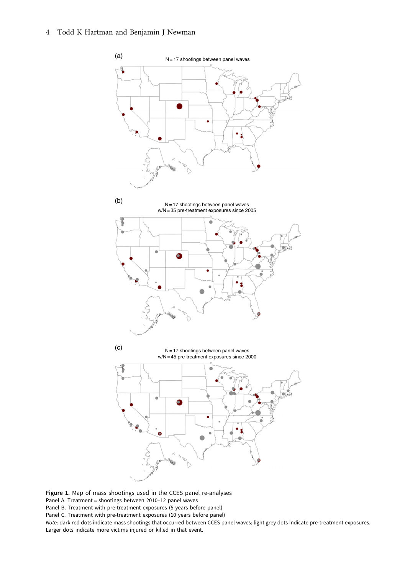<span id="page-3-0"></span>

Figure 1. Map of mass shootings used in the CCES panel re-analyses Panel A. Treatment=shootings between 2010–12 panel waves Panel B. Treatment with pre-treatment exposures (5 years before panel) Panel C. Treatment with pre-treatment exposures (10 years before panel) Note: dark red dots indicate mass shootings that occurred between CCES panel waves; light grey dots indicate pre-treatment exposures. Larger dots indicate more victims injured or killed in that event.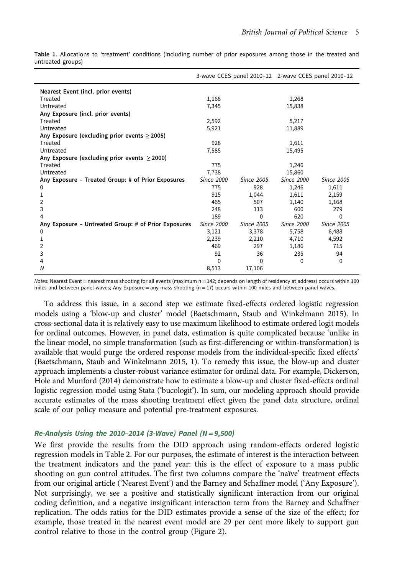|                                                      |            |            | 3-wave CCES panel 2010-12 2-wave CCES panel 2010-12 |            |
|------------------------------------------------------|------------|------------|-----------------------------------------------------|------------|
| Nearest Event (incl. prior events)                   |            |            |                                                     |            |
| Treated                                              | 1,168      |            | 1,268                                               |            |
| Untreated                                            | 7,345      |            | 15,838                                              |            |
| Any Exposure (incl. prior events)                    |            |            |                                                     |            |
| Treated                                              | 2,592      |            | 5,217                                               |            |
| Untreated                                            | 5,921      |            | 11,889                                              |            |
| Any Exposure (excluding prior events $\geq$ 2005)    |            |            |                                                     |            |
| Treated                                              | 928        |            | 1,611                                               |            |
| Untreated                                            | 7,585      |            | 15,495                                              |            |
| Any Exposure (excluding prior events $\geq$ 2000)    |            |            |                                                     |            |
| Treated                                              | 775        |            | 1,246                                               |            |
| Untreated                                            | 7,738      |            | 15,860                                              |            |
| Any Exposure - Treated Group: # of Prior Exposures   | Since 2000 | Since 2005 | Since 2000                                          | Since 2005 |
| 0                                                    | 775        | 928        | 1,246                                               | 1,611      |
| 1                                                    | 915        | 1,044      | 1,611                                               | 2,159      |
| 2                                                    | 465        | 507        | 1,140                                               | 1,168      |
| 3                                                    | 248        | 113        | 600                                                 | 279        |
| 4                                                    | 189        | $\Omega$   | 620                                                 | 0          |
| Any Exposure - Untreated Group: # of Prior Exposures | Since 2000 | Since 2005 | Since 2000                                          | Since 2005 |
| 0                                                    | 3,121      | 3,378      | 5,758                                               | 6,488      |
| 1                                                    | 2,239      | 2,210      | 4,710                                               | 4,592      |
| 2                                                    | 469        | 297        | 1,186                                               | 715        |
| 3                                                    | 92         | 36         | 235                                                 | 94         |
| 4                                                    | 0          | $\Omega$   | $\Omega$                                            | 0          |
| N                                                    | 8,513      | 17,106     |                                                     |            |
|                                                      |            |            |                                                     |            |

<span id="page-4-0"></span>Table 1. Allocations to 'treatment' conditions (including number of prior exposures among those in the treated and untreated groups)

Notes: Nearest Event = nearest mass shooting for all events (maximum n = 142; depends on length of residency at address) occurs within 100 miles and between panel waves; Any Exposure = any mass shooting  $(n=17)$  occurs within 100 miles and between panel waves.

To address this issue, in a second step we estimate fixed-effects ordered logistic regression models using a 'blow-up and cluster' model (Baetschmann, Staub and Winkelmann [2015](#page-9-0)). In cross-sectional data it is relatively easy to use maximum likelihood to estimate ordered logit models for ordinal outcomes. However, in panel data, estimation is quite complicated because 'unlike in the linear model, no simple transformation (such as first-differencing or within-transformation) is available that would purge the ordered response models from the individual-specific fixed effects' (Baetschmann, Staub and Winkelmann [2015](#page-9-0), 1). To remedy this issue, the blow-up and cluster approach implements a cluster-robust variance estimator for ordinal data. For example, Dickerson, Hole and Munford [\(2014](#page-9-0)) demonstrate how to estimate a blow-up and cluster fixed-effects ordinal logistic regression model using Stata ('bucologit'). In sum, our modeling approach should provide accurate estimates of the mass shooting treatment effect given the panel data structure, ordinal scale of our policy measure and potential pre-treatment exposures.

### Re-Analysis Using the 2010-2014 (3-Wave) Panel ( $N = 9,500$ )

We first provide the results from the DID approach using random-effects ordered logistic regression models in [Table 2](#page-5-0). For our purposes, the estimate of interest is the interaction between the treatment indicators and the panel year: this is the effect of exposure to a mass public shooting on gun control attitudes. The first two columns compare the 'naïve' treatment effects from our original article ('Nearest Event') and the Barney and Schaffner model ('Any Exposure'). Not surprisingly, we see a positive and statistically significant interaction from our original coding definition, and a negative insignificant interaction term from the Barney and Schaffner replication. The odds ratios for the DID estimates provide a sense of the size of the effect; for example, those treated in the nearest event model are 29 per cent more likely to support gun control relative to those in the control group [\(Figure 2](#page-5-0)).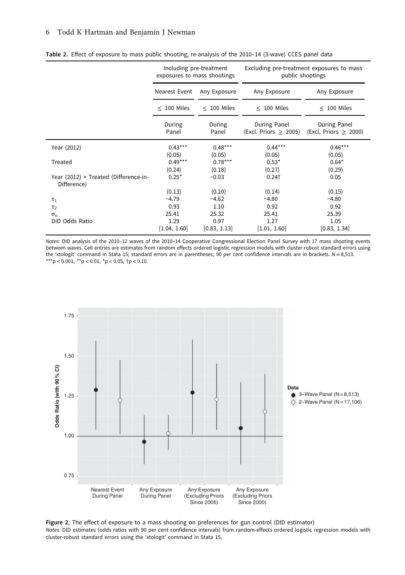|                                                      |                                | Including pre-treatment<br>exposures to mass shootings | Excluding pre-treatment exposures to mass<br>public shootings |                                            |  |  |
|------------------------------------------------------|--------------------------------|--------------------------------------------------------|---------------------------------------------------------------|--------------------------------------------|--|--|
|                                                      | Nearest Event<br>Any Exposure  |                                                        | Any Exposure                                                  | Any Exposure                               |  |  |
|                                                      | $<$ 100 Miles<br>$< 100$ Miles |                                                        | $\leq$ 100 Miles                                              | $\leq$ 100 Miles                           |  |  |
|                                                      | During<br>Panel                | During<br>Panel                                        | During Panel<br>(Excl. Priors $\geq$ 2005)                    | During Panel<br>(Excl. Priors $\geq$ 2000) |  |  |
| Year (2012)                                          | $0.43***$                      | $0.48***$                                              | $0.44***$                                                     | $0.46***$                                  |  |  |
| Treated                                              | (0.05)<br>$0.49***$<br>(0.24)  | (0.05)<br>$0.78***$<br>(0.18)                          | (0.05)<br>$0.53*$<br>(0.27)                                   | (0.05)<br>$0.64*$<br>(0.29)                |  |  |
| Year (2012) × Treated (Difference-in-<br>Difference) | $0.25*$                        | $-0.03$                                                | 0.24                                                          | 0.05                                       |  |  |
|                                                      | (0.13)                         | (0.10)                                                 | (0.14)                                                        | (0.15)                                     |  |  |
| $\tau_1$                                             | $-4.79$                        | $-4.62$                                                | $-4.80$                                                       | $-4.80$                                    |  |  |
| $\tau_2$                                             | 0.93                           | 1.10                                                   | 0.92                                                          | 0.92                                       |  |  |
| $\sigma_{\rm u}$                                     | 25.41                          | 25.32                                                  | 25.41                                                         | 25.39                                      |  |  |
| DiD Odds Ratio                                       | 1.29                           | 0.97                                                   | 1.27                                                          | 1.05                                       |  |  |
|                                                      | [1.04, 1.60]                   | [0.83, 1.13]                                           | [1.01, 1.60]                                                  | [0.83, 1.34]                               |  |  |

<span id="page-5-0"></span>

|  |  |  |  |  | Table 2. Effect of exposure to mass public shooting, re-analysis of the 2010-14 (3-wave) CCES panel data |  |  |  |  |  |
|--|--|--|--|--|----------------------------------------------------------------------------------------------------------|--|--|--|--|--|
|--|--|--|--|--|----------------------------------------------------------------------------------------------------------|--|--|--|--|--|

Notes: DID analysis of the 2010–12 waves of the 2010–14 Cooperative Congressional Election Panel Survey with 17 mass shooting events between waves. Cell entries are estimates from random effects ordered logistic regression models with cluster-robust standard errors using the 'xtologit' command in Stata 15; standard errors are in parentheses; 90 per cent confidence intervals are in brackets. N= 8,513. \*\*\*p < 0.001, \*\*p < 0.01, \*p < 0.05,  $\uparrow$  p < 0.10.



Figure 2. The effect of exposure to a mass shooting on preferences for gun control (DID estimator) Notes: DID estimates (odds ratios with 90 per cent confidence intervals) from random-effects ordered logistic regression models with cluster-robust standard errors using the 'xtologit' command in Stata 15.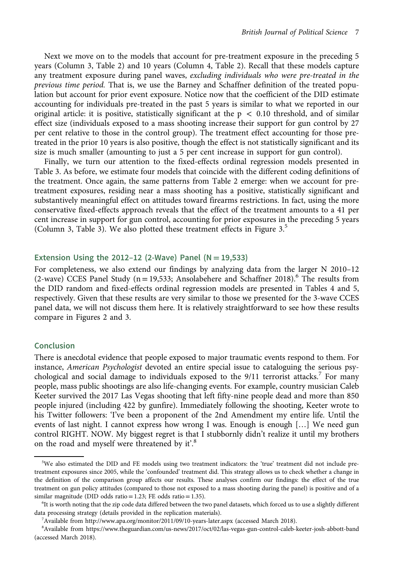Next we move on to the models that account for pre-treatment exposure in the preceding 5 years (Column 3, [Table 2](#page-5-0)) and 10 years (Column 4, [Table 2](#page-5-0)). Recall that these models capture any treatment exposure during panel waves, excluding individuals who were pre-treated in the previous time period. That is, we use the Barney and Schaffner definition of the treated population but account for prior event exposure. Notice now that the coefficient of the DID estimate accounting for individuals pre-treated in the past 5 years is similar to what we reported in our original article: it is positive, statistically significant at the  $p < 0.10$  threshold, and of similar effect size (individuals exposed to a mass shooting increase their support for gun control by 27 per cent relative to those in the control group). The treatment effect accounting for those pretreated in the prior 10 years is also positive, though the effect is not statistically significant and its size is much smaller (amounting to just a 5 per cent increase in support for gun control).

Finally, we turn our attention to the fixed-effects ordinal regression models presented in [Table 3](#page-7-0). As before, we estimate four models that coincide with the different coding definitions of the treatment. Once again, the same patterns from [Table 2](#page-5-0) emerge: when we account for pretreatment exposures, residing near a mass shooting has a positive, statistically significant and substantively meaningful effect on attitudes toward firearms restrictions. In fact, using the more conservative fixed-effects approach reveals that the effect of the treatment amounts to a 41 per cent increase in support for gun control, accounting for prior exposures in the preceding 5 years (Column 3, [Table 3\)](#page-7-0). We also plotted these treatment effects in [Figure 3](#page-7-0).<sup>5</sup>

# Extension Using the 2012–12 (2-Wave) Panel ( $N = 19,533$ )

For completeness, we also extend our findings by analyzing data from the larger N 2010–12 (2-wave) CCES Panel Study ( $n= 19,533$ ; Ansolabehere and Schaffner [2018](#page-9-0)).<sup>6</sup> The results from the DID random and fixed-effects ordinal regression models are presented in [Tables 4](#page-8-0) and [5](#page-8-0), respectively. Given that these results are very similar to those we presented for the 3-wave CCES panel data, we will not discuss them here. It is relatively straightforward to see how these results compare in [Figures 2](#page-5-0) and [3](#page-7-0).

### Conclusion

There is anecdotal evidence that people exposed to major traumatic events respond to them. For instance, American Psychologist devoted an entire special issue to cataloguing the serious psychological and social damage to individuals exposed to the  $9/11$  terrorist attacks.<sup>7</sup> For many people, mass public shootings are also life-changing events. For example, country musician Caleb Keeter survived the 2017 Las Vegas shooting that left fifty-nine people dead and more than 850 people injured (including 422 by gunfire). Immediately following the shooting, Keeter wrote to his Twitter followers: 'I've been a proponent of the 2nd Amendment my entire life. Until the events of last night. I cannot express how wrong I was. Enough is enough […] We need gun control RIGHT. NOW. My biggest regret is that I stubbornly didn't realize it until my brothers on the road and myself were threatened by it'.<sup>8</sup>

<sup>5</sup> We also estimated the DID and FE models using two treatment indicators: the 'true' treatment did not include pretreatment exposures since 2005, while the 'confounded' treatment did. This strategy allows us to check whether a change in the definition of the comparison group affects our results. These analyses confirm our findings: the effect of the true treatment on gun policy attitudes (compared to those not exposed to a mass shooting during the panel) is positive and of a similar magnitude (DID odds ratio=1.23; FE odds ratio= 1.35).

<sup>&</sup>lt;sup>6</sup>It is worth noting that the zip code data differed between the two panel datasets, which forced us to use a slightly different data processing strategy (details provided in the replication materials).

<sup>7</sup> Available from [http://www.apa.org/monitor/2011/09/10-years-later.aspx](http://www.apa.org/monitor/2011�/�09/10-years-later.aspx) (accessed March 2018).

<sup>8</sup> Available from<https://www.theguardian.com/us-news/2017/oct/02/las-vegas-gun-control-caleb-keeter-josh-abbott-band> (accessed March 2018).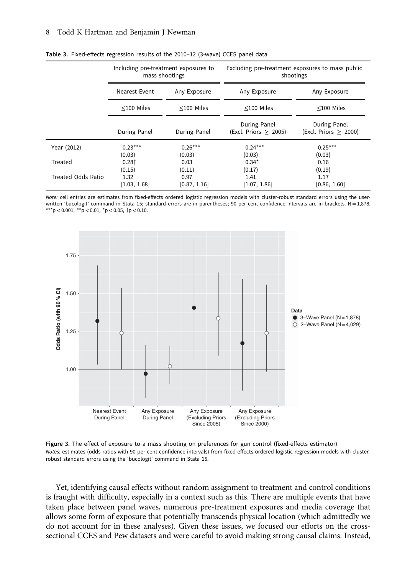|                    | mass shootings              | Including pre-treatment exposures to | Excluding pre-treatment exposures to mass public<br>shootings |                                            |  |  |
|--------------------|-----------------------------|--------------------------------------|---------------------------------------------------------------|--------------------------------------------|--|--|
|                    | Nearest Event               | Any Exposure                         | Any Exposure                                                  | Any Exposure                               |  |  |
|                    | $<$ 100 Miles               | $<$ 100 Miles                        | $<$ 100 Miles                                                 | $<$ 100 Miles                              |  |  |
|                    | During Panel                | During Panel                         | During Panel<br>(Excl. Priors $\geq$ 2005)                    | During Panel<br>(Excl. Priors $\geq$ 2000) |  |  |
| Year (2012)        | $0.23***$<br>(0.03)         | $0.26***$<br>(0.03)                  | $0.24***$<br>(0.03)                                           | $0.25***$<br>(0.03)                        |  |  |
| Treated            | 0.28 <sup>†</sup><br>(0.15) | $-0.03$<br>(0.11)                    | $0.34*$<br>(0.17)                                             | 0.16<br>(0.19)                             |  |  |
| Treated Odds Ratio | 1.32<br>[1.03, 1.68]        | 0.97<br>[0.82, 1.16]                 | 1.41<br>[1.07, 1.86]                                          | 1.17<br>[0.86, 1.60]                       |  |  |

<span id="page-7-0"></span>

|  | Table 3. Fixed-effects regression results of the 2010-12 (3-wave) CCES panel data |  |  |  |  |  |  |  |  |
|--|-----------------------------------------------------------------------------------|--|--|--|--|--|--|--|--|
|--|-----------------------------------------------------------------------------------|--|--|--|--|--|--|--|--|

Note: cell entries are estimates from fixed-effects ordered logistic regression models with cluster-robust standard errors using the userwritten 'bucologit' command in Stata 15; standard errors are in parentheses; 90 per cent confidence intervals are in brackets. N = 1,878. \*\*\*p < 0.001, \*\*p < 0.01, \*p < 0.05,  $\uparrow$ p < 0.10.



Figure 3. The effect of exposure to a mass shooting on preferences for gun control (fixed-effects estimator) Notes: estimates (odds ratios with 90 per cent confidence intervals) from fixed-effects ordered logistic regression models with clusterrobust standard errors using the 'bucologit' command in Stata 15.

Yet, identifying causal effects without random assignment to treatment and control conditions is fraught with difficulty, especially in a context such as this. There are multiple events that have taken place between panel waves, numerous pre-treatment exposures and media coverage that allows some form of exposure that potentially transcends physical location (which admittedly we do not account for in these analyses). Given these issues, we focused our efforts on the crosssectional CCES and Pew datasets and were careful to avoid making strong causal claims. Instead,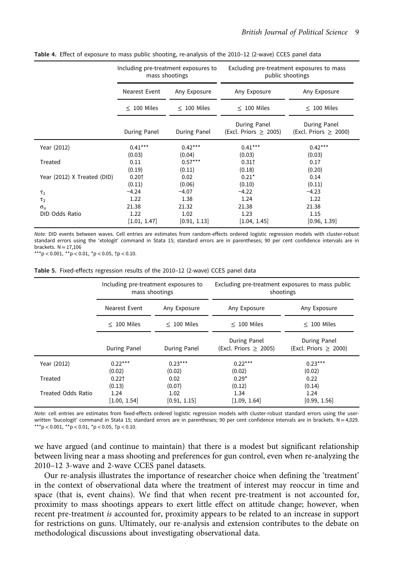|                             |                  | Including pre-treatment exposures to<br>mass shootings | Excluding pre-treatment exposures to mass<br>public shootings |                                            |  |  |
|-----------------------------|------------------|--------------------------------------------------------|---------------------------------------------------------------|--------------------------------------------|--|--|
|                             | Nearest Event    | Any Exposure                                           | Any Exposure                                                  | Any Exposure                               |  |  |
|                             | $\leq$ 100 Miles | $\leq$ 100 Miles                                       | $\leq$ 100 Miles                                              | $\leq$ 100 Miles                           |  |  |
|                             | During Panel     | During Panel                                           | During Panel<br>(Excl. Priors $\geq$ 2005)                    | During Panel<br>(Excl. Priors $\geq$ 2000) |  |  |
| Year (2012)                 | $0.41***$        | $0.42***$                                              | $0.41***$                                                     | $0.42***$                                  |  |  |
|                             | (0.03)           | (0.04)                                                 | (0.03)                                                        | (0.03)                                     |  |  |
| Treated                     | 0.11             | $0.57***$                                              | $0.31\dagger$                                                 | 0.17                                       |  |  |
|                             | (0.19)           | (0.11)                                                 | (0.18)                                                        | (0.20)                                     |  |  |
| Year (2012) X Treated (DID) | 0.201            | 0.02                                                   | $0.21*$                                                       | 0.14                                       |  |  |
|                             | (0.11)           | (0.06)                                                 | (0.10)                                                        | (0.11)                                     |  |  |
| $\tau_1$                    | $-4.24$          | $-4.07$                                                | $-4.22$                                                       | $-4.23$                                    |  |  |
| $\tau_2$                    | 1.22             | 1.38                                                   | 1.24                                                          | 1.22                                       |  |  |
| $\sigma_{\rm u}$            | 21.38            | 21.32                                                  | 21.38                                                         | 21.38                                      |  |  |
| DID Odds Ratio              | 1.22             | 1.02                                                   | 1.23                                                          | 1.15                                       |  |  |
|                             | [1.01, 1.47]     | [0.91, 1.13]                                           | [1.04, 1.45]                                                  | [0.96, 1.39]                               |  |  |

<span id="page-8-0"></span>Table 4. Effect of exposure to mass public shooting, re-analysis of the 2010–12 (2-wave) CCES panel data

Note: DID events between waves. Cell entries are estimates from random-effects ordered logistic regression models with cluster-robust standard errors using the 'xtologit' command in Stata 15; standard errors are in parentheses; 90 per cent confidence intervals are in brackets.  $N=17,106$ 

 $*$ p < 0.001,  $*$  $p$  < 0.01,  $*$ p < 0.05,  $tp$  < 0.10.

Table 5. Fixed-effects regression results of the 2010–12 (2-wave) CCES panel data

|                    | Including pre-treatment exposures to<br>mass shootings |                          | Excluding pre-treatment exposures to mass public<br>shootings |                                            |  |  |
|--------------------|--------------------------------------------------------|--------------------------|---------------------------------------------------------------|--------------------------------------------|--|--|
|                    | Nearest Event                                          | Any Exposure             | Any Exposure                                                  | Any Exposure                               |  |  |
|                    | $< 100$ Miles                                          | $< 100$ Miles            | $< 100$ Miles                                                 | $< 100$ Miles                              |  |  |
|                    | During Panel                                           | During Panel             | During Panel<br>(Excl. Priors $\geq$ 2005)                    | During Panel<br>(Excl. Priors $\geq$ 2000) |  |  |
| Year (2012)        | $0.22***$                                              | $0.23***$                | $0.22***$                                                     | $0.23***$                                  |  |  |
| Treated            | (0.02)<br>$0.22$ t<br>(0.13)                           | (0.02)<br>0.02<br>(0.07) | (0.02)<br>$0.29*$<br>(0.12)                                   | (0.02)<br>0.22<br>(0.14)                   |  |  |
| Treated Odds Ratio | 1.24<br>[1.00, 1.54]                                   | 1.02<br>[0.91, 1.15]     | 1.34<br>[1.09, 1.64]                                          | 1.24<br>[0.99, 1.56]                       |  |  |

Note: cell entries are estimates from fixed-effects ordered logistic regression models with cluster-robust standard errors using the userwritten 'bucologit' command in Stata 15; standard errors are in parentheses; 90 per cent confidence intervals are in brackets. N = 4.029. \*\*\*p < 0.001, \*\*p < 0.01, \*p < 0.05,  $tp$  < 0.10.

we have argued (and continue to maintain) that there is a modest but significant relationship between living near a mass shooting and preferences for gun control, even when re-analyzing the 2010–12 3-wave and 2-wave CCES panel datasets.

Our re-analysis illustrates the importance of researcher choice when defining the 'treatment' in the context of observational data where the treatment of interest may reoccur in time and space (that is, event chains). We find that when recent pre-treatment is not accounted for, proximity to mass shootings appears to exert little effect on attitude change; however, when recent pre-treatment is accounted for, proximity appears to be related to an increase in support for restrictions on guns. Ultimately, our re-analysis and extension contributes to the debate on methodological discussions about investigating observational data.